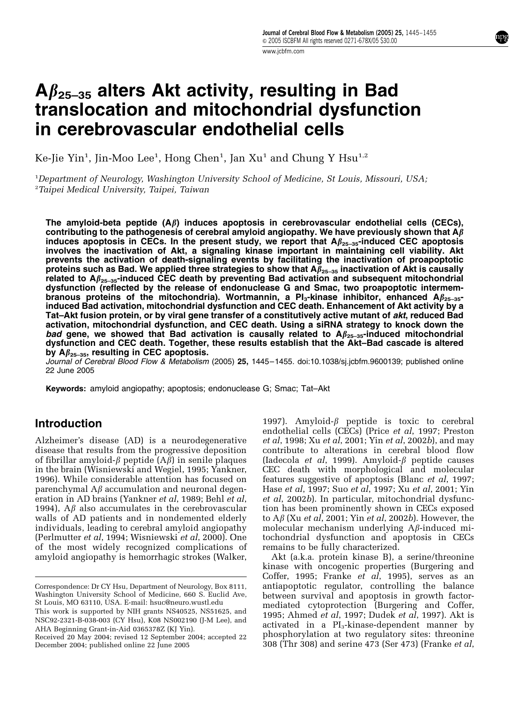npş

# A $\beta_{25-35}$  alters Akt activity, resulting in Bad translocation and mitochondrial dysfunction in cerebrovascular endothelial cells

Ke-Jie Yin<sup>1</sup>, Jin-Moo Lee<sup>1</sup>, Hong Chen<sup>1</sup>, Jan Xu<sup>1</sup> and Chung Y Hsu<sup>1,2</sup>

<sup>1</sup>Department of Neurology, Washington University School of Medicine, St Louis, Missouri, USA; <sup>2</sup>Taipei Medical University, Taipei, Taiwan

The amyloid-beta peptide  $(A\beta)$  induces apoptosis in cerebrovascular endothelial cells (CECs), contributing to the pathogenesis of cerebral amyloid angiopathy. We have previously shown that  $A\beta$ induces apoptosis in CECs. In the present study, we report that  $A\beta_{25-35}$ -induced CEC apoptosis involves the inactivation of Akt, a signaling kinase important in maintaining cell viability. Akt prevents the activation of death-signaling events by facilitating the inactivation of proapoptotic proteins such as Bad. We applied three strategies to show that  $A\beta_{25-35}$  inactivation of Akt is causally related to  $A\beta_{25-35}$ -induced CEC death by preventing Bad activation and subsequent mitochondrial dysfunction (reflected by the release of endonuclease G and Smac, two proapoptotic intermembranous proteins of the mitochondria). Wortmannin, a Pl<sub>3</sub>-kinase inhibitor, enhanced A $\beta_{25-35}$ induced Bad activation, mitochondrial dysfunction and CEC death. Enhancement of Akt activity by a Tat–Akt fusion protein, or by viral gene transfer of a constitutively active mutant of akt, reduced Bad activation, mitochondrial dysfunction, and CEC death. Using a siRNA strategy to knock down the bad gene, we showed that Bad activation is causally related to  $A\beta_{25-35}$ -induced mitochondrial dysfunction and CEC death. Together, these results establish that the Akt–Bad cascade is altered by  $A\beta_{25-35}$ , resulting in CEC apoptosis.

Journal of Cerebral Blood Flow & Metabolism (2005) 25, 1445-1455. doi:10.1038/sj.jcbfm.9600139; published online 22 June 2005

Keywords: amyloid angiopathy; apoptosis; endonuclease G; Smac; Tat–Akt

# Introduction

Alzheimer's disease (AD) is a neurodegenerative disease that results from the progressive deposition of fibrillar amyloid- $\beta$  peptide  $(A\beta)$  in senile plaques in the brain (Wisniewski and Wegiel, 1995; Yankner, 1996). While considerable attention has focused on parenchymal  $A\beta$  accumulation and neuronal degeneration in AD brains (Yankner et al, 1989; Behl et al, 1994),  $A\beta$  also accumulates in the cerebrovascular walls of AD patients and in nondemented elderly individuals, leading to cerebral amyloid angiopathy (Perlmutter et al, 1994; Wisniewski et al, 2000). One of the most widely recognized complications of amyloid angiopathy is hemorrhagic strokes (Walker,

1997). Amyloid- $\beta$  peptide is toxic to cerebral endothelial cells (CECs) (Price et al, 1997; Preston et al, 1998; Xu et al, 2001; Yin et al, 2002b), and may contribute to alterations in cerebral blood flow (Iadecola *et al*, 1999). Amyloid- $\beta$  peptide causes CEC death with morphological and molecular features suggestive of apoptosis (Blanc et al, 1997; Hase et al, 1997; Suo et al, 1997; Xu et al, 2001; Yin et al, 2002b). In particular, mitochondrial dysfunction has been prominently shown in CECs exposed to  $A\beta$  (Xu *et al*, 2001; Yin *et al*, 2002*b*). However, the molecular mechanism underlying  $A\beta$ -induced mitochondrial dysfunction and apoptosis in CECs remains to be fully characterized.

Akt (a.k.a. protein kinase B), a serine/threonine kinase with oncogenic properties (Burgering and Coffer, 1995; Franke  $e\bar{t}$  al, 1995), serves as an antiapoptotic regulator, controlling the balance between survival and apoptosis in growth factormediated cytoprotection (Burgering and Coffer, 1995; Ahmed et al, 1997; Dudek et al, 1997). Akt is activated in a  $PI_3$ -kinase-dependent manner by phosphorylation at two regulatory sites: threonine 308 (Thr 308) Received 20 May 2004; revised 12 September 2004; accepted 22 phosphorylation at two regulatory sites: threonine December 2004; revised 12 September 2005 308 (Thr 308) and serine 473 (Ser 473) (Franke *et al*,

Correspondence: Dr CY Hsu, Department of Neurology, Box 8111, Washington University School of Medicine, 660 S. Euclid Ave, St Louis, MO 63110, USA. E-mail: hsuc@neuro.wustl.edu

This work is supported by NIH grants NS40525, NS51625, and NSC92-2321-B-038-003 (CY Hsu), K08 NS002190 (J-M Lee), and AHA Beginning Grant-in-Aid 0365378Z (KJ Yin).

December 2004; published online 22 June 2005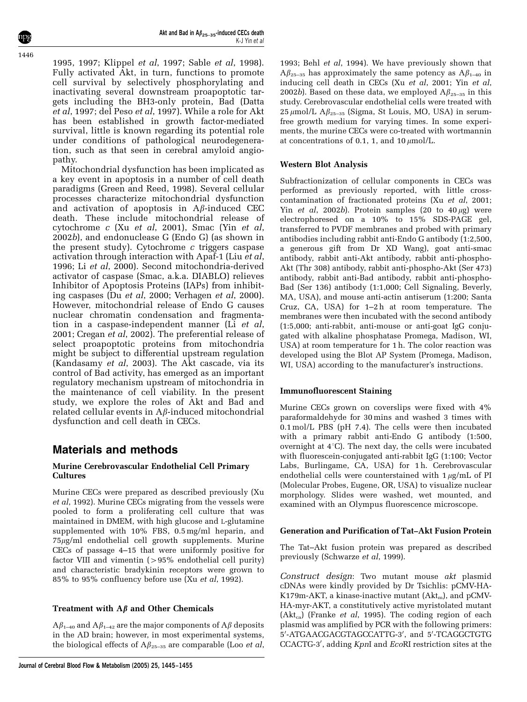1995, 1997; Klippel et al, 1997; Sable et al, 1998). Fully activated Akt, in turn, functions to promote cell survival by selectively phosphorylating and inactivating several downstream proapoptotic targets including the BH3-only protein, Bad (Datta et al, 1997; del Peso et al, 1997). While a role for Akt has been established in growth factor-mediated survival, little is known regarding its potential role under conditions of pathological neurodegeneration, such as that seen in cerebral amyloid angiopathy.

Mitochondrial dysfunction has been implicated as a key event in apoptosis in a number of cell death paradigms (Green and Reed, 1998). Several cellular processes characterize mitochondrial dysfunction and activation of apoptosis in  $A\beta$ -induced CEC death. These include mitochondrial release of cytochrome c (Xu et al, 2001), Smac (Yin et al, 2002b), and endonuclease G (Endo G) (as shown in the present study). Cytochrome  $c$  triggers caspase activation through interaction with Apaf-1 (Liu et al, 1996; Li et al, 2000). Second mitochondria-derived activator of caspase (Smac, a.k.a. DIABLO) relieves Inhibitor of Apoptosis Proteins (IAPs) from inhibiting caspases (Du et al, 2000; Verhagen et al, 2000). However, mitochondrial release of Endo G causes nuclear chromatin condensation and fragmentation in a caspase-independent manner (Li et al, 2001; Cregan et al, 2002). The preferential release of select proapoptotic proteins from mitochondria might be subject to differential upstream regulation (Kandasamy et al, 2003). The Akt cascade, via its control of Bad activity, has emerged as an important regulatory mechanism upstream of mitochondria in the maintenance of cell viability. In the present study, we explore the roles of Akt and Bad and related cellular events in  $A\beta$ -induced mitochondrial dysfunction and cell death in CECs.

# Materials and methods

## Murine Cerebrovascular Endothelial Cell Primary **Cultures**

Murine CECs were prepared as described previously (Xu et al, 1992). Murine CECs migrating from the vessels were pooled to form a proliferating cell culture that was maintained in DMEM, with high glucose and L-glutamine supplemented with 10% FBS, 0.5 mg/ml heparin, and  $75\mu g/ml$  endothelial cell growth supplements. Murine CECs of passage 4–15 that were uniformly positive for factor VIII and vimentin  $(>95\%$  endothelial cell purity) and characteristic bradykinin receptors were grown to 85% to 95% confluency before use (Xu et al, 1992).

# Treatment with  $A\beta$  and Other Chemicals

 $A\beta_{1-40}$  and  $A\beta_{1-42}$  are the major components of  $A\beta$  deposits in the AD brain; however, in most experimental systems, the biological effects of  $A\beta_{25-35}$  are comparable (Loo et al,

## Western Blot Analysis

Subfractionization of cellular components in CECs was performed as previously reported, with little crosscontamination of fractionated proteins (Xu et al, 2001; Yin *et al*, 2002*b*). Protein samples (20 to  $40 \mu$ g) were electrophoresed on a 10% to 15% SDS-PAGE gel, transferred to PVDF membranes and probed with primary antibodies including rabbit anti-Endo G antibody (1:2,500, a generous gift from Dr XD Wang), goat anti-smac antibody, rabbit anti-Akt antibody, rabbit anti-phospho-Akt (Thr 308) antibody, rabbit anti-phospho-Akt (Ser 473) antibody, rabbit anti-Bad antibody, rabbit anti-phospho-Bad (Ser 136) antibody (1:1,000; Cell Signaling, Beverly, MA, USA), and mouse anti-actin antiserum (1:200; Santa Cruz, CA, USA) for 1–2 h at room temperature. The membranes were then incubated with the second antibody (1:5,000; anti-rabbit, anti-mouse or anti-goat IgG conjugated with alkaline phosphatase Promega, Madison, WI, USA) at room temperature for 1 h. The color reaction was developed using the Blot AP System (Promega, Madison, WI, USA) according to the manufacturer's instructions.

#### Immunofluorescent Staining

Murine CECs grown on coverslips were fixed with 4% paraformaldehyde for 30 mins and washed 3 times with 0.1 mol/L PBS (pH 7.4). The cells were then incubated with a primary rabbit anti-Endo G antibody (1:500, overnight at  $4^{\circ}$ C). The next day, the cells were incubated with fluorescein-conjugated anti-rabbit IgG (1:100; Vector Labs, Burlingame, CA, USA) for 1h. Cerebrovascular endothelial cells were counterstained with  $1 \mu g/mL$  of PI (Molecular Probes, Eugene, OR, USA) to visualize nuclear morphology. Slides were washed, wet mounted, and examined with an Olympus fluorescence microscope.

#### Generation and Purification of Tat–Akt Fusion Protein

The Tat–Akt fusion protein was prepared as described previously (Schwarze et al, 1999).

Construct design: Two mutant mouse akt plasmid cDNAs were kindly provided by Dr Tsichlis: pCMV-HA-K179m-AKT, a kinase-inactive mutant  $(Akt_m)$ , and pCMV-HA-myr-AKT, a constitutively active myristolated mutant  $(Akt_{ca})$  (Franke *et al*, 1995). The coding region of each plasmid was amplified by PCR with the following primers: 5'-ATGAACGACGTAGCCATTG-3', and 5'-TCAGGCTGTG CCACTG-3', adding KpnI and EcoRI restriction sites at the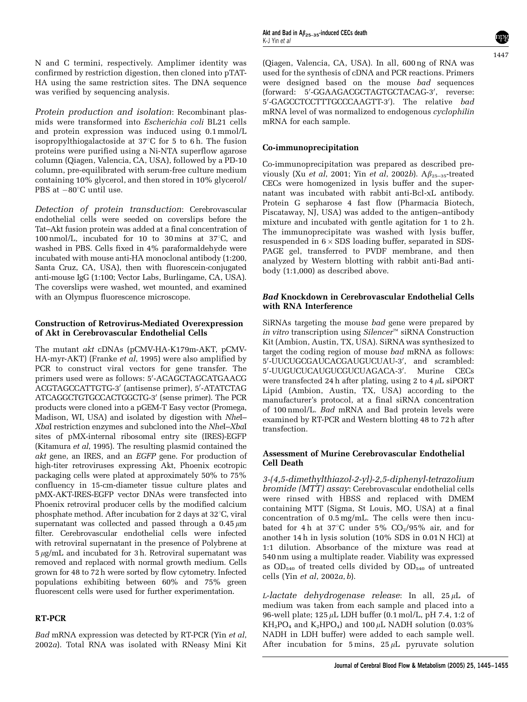N and C termini, respectively. Amplimer identity was confirmed by restriction digestion, then cloned into pTAT-HA using the same restriction sites. The DNA sequence was verified by sequencing analysis.

Protein production and isolation: Recombinant plasmids were transformed into Escherichia coli BL21 cells and protein expression was induced using 0.1 mmol/L isopropylthiogalactoside at  $37^{\circ}$ C for 5 to 6 h. The fusion proteins were purified using a Ni-NTA superflow agarose column (Qiagen, Valencia, CA, USA), followed by a PD-10 column, pre-equilibrated with serum-free culture medium containing 10% glycerol, and then stored in 10% glycerol/ PBS at  $-80^{\circ}$ C until use.

Detection of protein transduction: Cerebrovascular endothelial cells were seeded on coverslips before the Tat–Akt fusion protein was added at a final concentration of 100 nmol/L, incubated for 10 to 30 mins at  $37^{\circ}$ C, and washed in PBS. Cells fixed in 4% paraformaldehyde were incubated with mouse anti-HA monoclonal antibody (1:200, Santa Cruz, CA, USA), then with fluorescein-conjugated anti-mouse IgG (1:100; Vector Labs, Burlingame, CA, USA). The coverslips were washed, wet mounted, and examined with an Olympus fluorescence microscope.

## Construction of Retrovirus-Mediated Overexpression of Akt in Cerebrovascular Endothelial Cells

The mutant akt cDNAs (pCMV-HA-K179m-AKT, pCMV-HA-myr-AKT) (Franke et al, 1995) were also amplified by PCR to construct viral vectors for gene transfer. The primers used were as follows: 5'-ACAGCTAGCATGAACG ACGTAGCCATTGTG-3' (antisense primer), 5'-ATATCTAG ATCAGGCTGTGCCACTGGCTG-3' (sense primer). The PCR products were cloned into a pGEM-T Easy vector (Promega, Madison, WI, USA) and isolated by digestion with NheI– XbaI restriction enzymes and subcloned into the NheI–XbaI sites of pMX-internal ribosomal entry site (IRES)-EGFP (Kitamura et al, 1995). The resulting plasmid contained the akt gene, an IRES, and an EGFP gene. For production of high-titer retroviruses expressing Akt, Phoenix ecotropic packaging cells were plated at approximately 50% to 75% confluency in 15-cm-diameter tissue culture plates and pMX-AKT-IRES-EGFP vector DNAs were transfected into Phoenix retroviral producer cells by the modified calcium phosphate method. After incubation for 2 days at  $32^{\circ}$ C, viral supernatant was collected and passed through a  $0.45 \mu m$ filter. Cerebrovascular endothelial cells were infected with retroviral supernatant in the presence of Polybrene at  $5 \mu g/mL$  and incubated for 3 h. Retroviral supernatant was removed and replaced with normal growth medium. Cells grown for 48 to 72 h were sorted by flow cytometry. Infected populations exhibiting between 60% and 75% green fluorescent cells were used for further experimentation.

# RT-PCR

Bad mRNA expression was detected by RT-PCR (Yin et al, 2002a). Total RNA was isolated with RNeasy Mini Kit

(Qiagen, Valencia, CA, USA). In all, 600 ng of RNA was used for the synthesis of cDNA and PCR reactions. Primers were designed based on the mouse bad sequences (forward: 5'-GGAAGACGCTAGTGCTACAG-3', reverse: 5'-GAGCCTCCTTTGCCCAAGTT-3'). The relative bad mRNA level of was normalized to endogenous cyclophilin mRNA for each sample.

# Co-immunoprecipitation

Co-immunoprecipitation was prepared as described previously (Xu et al, 2001; Yin et al, 2002b).  $A\beta_{25-35}$ -treated CECs were homogenized in lysis buffer and the supernatant was incubated with rabbit anti-Bcl-xL antibody. Protein G sepharose 4 fast flow (Pharmacia Biotech, Piscataway, NJ, USA) was added to the antigen–antibody mixture and incubated with gentle agitation for 1 to 2 h. The immunoprecipitate was washed with lysis buffer, resuspended in  $6 \times$  SDS loading buffer, separated in SDS-PAGE gel, transferred to PVDF membrane, and then analyzed by Western blotting with rabbit anti-Bad antibody (1:1,000) as described above.

## Bad Knockdown in Cerebrovascular Endothelial Cells with RNA Interference

SiRNAs targeting the mouse bad gene were prepared by in vitro transcription using  $Silencer^M$  siRNA Construction Kit (Ambion, Austin, TX, USA). SiRNA was synthesized to target the coding region of mouse bad mRNA as follows: 5'-UUCUGCGAUCACGAUGUCUAU-3', and scrambled: 5'-UUGUCUCAUGUCGUCUAGACA-3'. Murine CECs were transfected 24 h after plating, using 2 to  $4 \mu L$  siPORT Lipid (Ambion, Austin, TX, USA) according to the manufacturer's protocol, at a final siRNA concentration of 100 nmol/L. Bad mRNA and Bad protein levels were examined by RT-PCR and Western blotting 48 to 72 h after transfection.

## Assessment of Murine Cerebrovascular Endothelial Cell Death

3-(4,5-dimethylthiazol-2-yl)-2,5-diphenyl-tetrazolium bromide (MTT) assay: Cerebrovascular endothelial cells were rinsed with HBSS and replaced with DMEM containing MTT (Sigma, St Louis, MO, USA) at a final concentration of 0.5 mg/mL. The cells were then incubated for 4h at 37°C under 5%  $CO<sub>2</sub>/95%$  air, and for another 14 h in lysis solution (10% SDS in 0.01 N HCl) at 1:1 dilution. Absorbance of the mixture was read at 540 nm using a multiplate reader. Viability was expressed as OD<sub>540</sub> of treated cells divided by OD<sub>540</sub> of untreated cells (Yin et al, 2002a, b).

L-lactate dehydrogenase release: In all,  $25 \mu L$  of medium was taken from each sample and placed into a 96-well plate;  $125 \mu L$  LDH buffer  $(0.1 \text{ mol/L}, \text{pH} 7.4, 1:2 \text{ of})$  $KH<sub>2</sub>PO<sub>4</sub>$  and  $K<sub>2</sub>HPO<sub>4</sub>$  and 100  $\mu$ L NADH solution (0.03%) NADH in LDH buffer) were added to each sample well. After incubation for 5 mins,  $25 \mu L$  pyruvate solution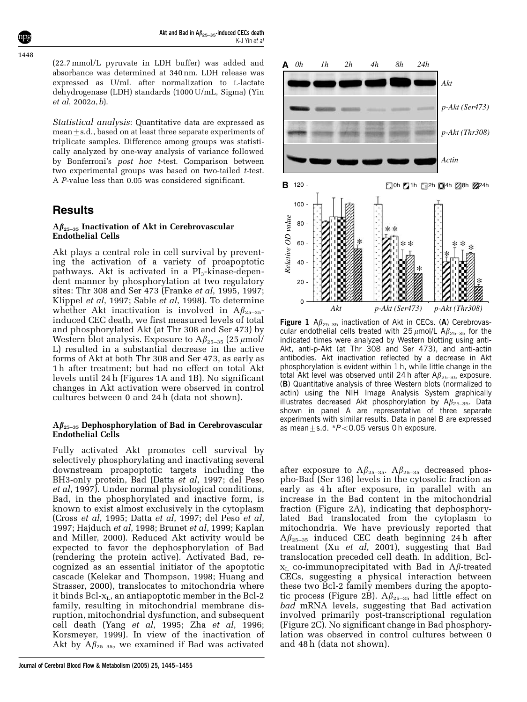(22.7 mmol/L pyruvate in LDH buffer) was added and absorbance was determined at 340 nm. LDH release was expressed as U/mL after normalization to L-lactate dehydrogenase (LDH) standards (1000 U/mL, Sigma) (Yin et al, 2002a, b).

Statistical analysis: Quantitative data are expressed as mean $\pm$ s.d., based on at least three separate experiments of triplicate samples. Difference among groups was statistically analyzed by one-way analysis of variance followed by Bonferroni's post hoc t-test. Comparison between two experimental groups was based on two-tailed t-test. A P-value less than 0.05 was considered significant.

# **Results**

### $A\beta_{25-35}$  Inactivation of Akt in Cerebrovascular Endothelial Cells

Akt plays a central role in cell survival by preventing the activation of a variety of proapoptotic pathways. Akt is activated in a  $PI_3$ -kinase-dependent manner by phosphorylation at two regulatory sites: Thr 308 and Ser 473 (Franke et al, 1995, 1997; Klippel et al, 1997; Sable et al, 1998). To determine whether Akt inactivation is involved in  $A\beta_{25-35}$ induced CEC death, we first measured levels of total and phosphorylated Akt (at Thr 308 and Ser 473) by Western blot analysis. Exposure to  $A\beta_{25-35}$  (25  $\mu$ mol/ L) resulted in a substantial decrease in the active forms of Akt at both Thr 308 and Ser 473, as early as 1 h after treatment; but had no effect on total Akt levels until 24 h (Figures 1A and 1B). No significant changes in Akt activation were observed in control cultures between 0 and 24 h (data not shown).

## $A\beta_{25-35}$  Dephosphorylation of Bad in Cerebrovascular Endothelial Cells

Fully activated Akt promotes cell survival by selectively phosphorylating and inactivating several downstream proapoptotic targets including the BH3-only protein, Bad (Datta et al, 1997; del Peso et al, 1997). Under normal physiological conditions, Bad, in the phosphorylated and inactive form, is known to exist almost exclusively in the cytoplasm (Cross et al, 1995; Datta et al, 1997; del Peso et al, 1997; Hajduch et al, 1998; Brunet et al, 1999; Kaplan and Miller, 2000). Reduced Akt activity would be expected to favor the dephosphorylation of Bad (rendering the protein active). Activated Bad, recognized as an essential initiator of the apoptotic cascade (Kelekar and Thompson, 1998; Huang and Strasser, 2000), translocates to mitochondria where it binds  $Bcl-x<sub>L</sub>$ , an antiapoptotic member in the Bcl-2 family, resulting in mitochondrial membrane disruption, mitochondrial dysfunction, and subsequent cell death (Yang et al, 1995; Zha et al, 1996; Korsmeyer, 1999). In view of the inactivation of Akt by  $A\beta_{25-35}$ , we examined if Bad was activated



Figure 1  $A\beta_{25-35}$  inactivation of Akt in CECs. (A) Cerebrovascular endothelial cells treated with 25  $\mu$ mol/L A $\beta_{25-35}$  for the indicated times were analyzed by Western blotting using anti-Akt, anti-p-Akt (at Thr 308 and Ser 473), and anti-actin antibodies. Akt inactivation reflected by a decrease in Akt phosphorylation is evident within 1 h, while little change in the total Akt level was observed until 24 h after  $A\beta_{25-35}$  exposure. (B) Quantitative analysis of three Western blots (normalized to actin) using the NIH Image Analysis System graphically illustrates decreased Akt phosphorylation by  $A\beta_{25-35}$ . Data shown in panel A are representative of three separate experiments with similar results. Data in panel B are expressed as mean $\pm$ s.d. \* $P$ <0.05 versus 0 h exposure.

after exposure to  $A\beta_{25-35}$ .  $A\beta_{25-35}$  decreased phospho-Bad (Ser 136) levels in the cytosolic fraction as early as 4h after exposure, in parallel with an increase in the Bad content in the mitochondrial fraction (Figure 2A), indicating that dephosphorylated Bad translocated from the cytoplasm to mitochondria. We have previously reported that  $\mathrm{A}\beta_{25-35}$  induced CEC death beginning 24 h after treatment (Xu *et al*, 2001), suggesting that Bad translocation preceded cell death. In addition, Bcl $x_L$  co-immunoprecipitated with Bad in A $\beta$ -treated CECs, suggesting a physical interaction between these two Bcl-2 family members during the apoptotic process (Figure 2B).  $A\beta_{25-35}$  had little effect on bad mRNA levels, suggesting that Bad activation involved primarily post-transcriptional regulation (Figure 2C). No significant change in Bad phosphorylation was observed in control cultures between 0 and 48 h (data not shown).

1448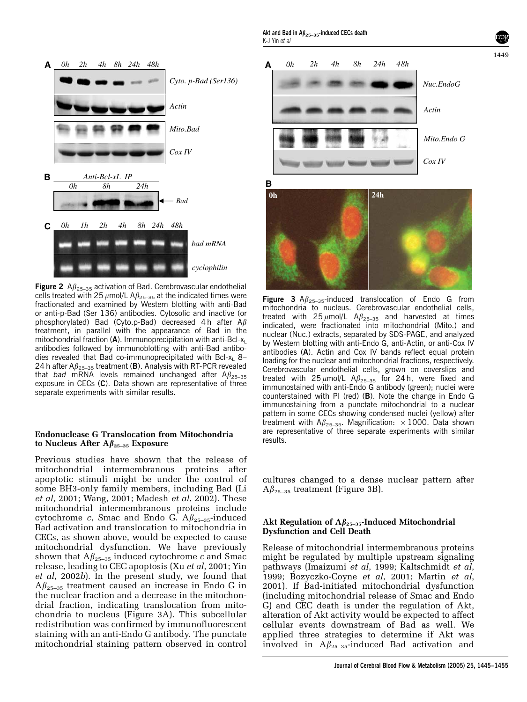

Figure 2  $A\beta_{25-35}$  activation of Bad. Cerebrovascular endothelial cells treated with 25  $\mu$ mol/L A $\beta_{25-35}$  at the indicated times were fractionated and examined by Western blotting with anti-Bad or anti-p-Bad (Ser 136) antibodies. Cytosolic and inactive (or phosphorylated) Bad (Cyto.p-Bad) decreased 4 h after  $A\beta$ treatment, in parallel with the appearance of Bad in the mitochondrial fraction  $(A)$ . Immunoprecipitation with anti-Bcl-x<sub>1</sub> antibodies followed by immunoblotting with anti-Bad antibodies revealed that Bad co-immunoprecipitated with Bcl-x<sub>1</sub> 8– 24 h after  $A\beta_{25-35}$  treatment (B). Analysis with RT-PCR revealed that bad mRNA levels remained unchanged after  $A\beta_{25-35}$ exposure in CECs (C). Data shown are representative of three separate experiments with similar results.

#### Endonuclease G Translocation from Mitochondria to Nucleus After  $A\beta_{25-35}$  Exposure

Previous studies have shown that the release of mitochondrial intermembranous proteins after apoptotic stimuli might be under the control of some BH3-only family members, including Bad (Li et al, 2001; Wang, 2001; Madesh et al, 2002). These mitochondrial intermembranous proteins include cytochrome c, Smac and Endo G.  $A\beta_{25-35}$ -induced Bad activation and translocation to mitochondria in CECs, as shown above, would be expected to cause mitochondrial dysfunction. We have previously shown that  $A\beta_{25-35}$  induced cytochrome c and Smac release, leading to CEC apoptosis (Xu et al, 2001; Yin et al, 2002b). In the present study, we found that  $A\beta_{25-35}$  treatment caused an increase in Endo G in the nuclear fraction and a decrease in the mitochondrial fraction, indicating translocation from mitochondria to nucleus (Figure 3A). This subcellular redistribution was confirmed by immunofluorescent staining with an anti-Endo G antibody. The punctate mitochondrial staining pattern observed in control



**Figure 3**  $\mathsf{A}\beta_{25-35}$ -induced translocation of Endo G from mitochondria to nucleus. Cerebrovascular endothelial cells, treated with  $25 \mu$ mol/L  $A\beta_{25-35}$  and harvested at times indicated, were fractionated into mitochondrial (Mito.) and nuclear (Nuc.) extracts, separated by SDS-PAGE, and analyzed by Western blotting with anti-Endo G, anti-Actin, or anti-Cox IV antibodies (A). Actin and Cox IV bands reflect equal protein loading for the nuclear and mitochondrial fractions, respectively. Cerebrovascular endothelial cells, grown on coverslips and treated with  $25 \mu$ mol/L  $A\beta_{25-35}$  for 24h, were fixed and immunostained with anti-Endo G antibody (green); nuclei were counterstained with PI (red) (B). Note the change in Endo G immunostaining from a punctate mitochondrial to a nuclear pattern in some CECs showing condensed nuclei (yellow) after treatment with A $\beta_{25-35}$ . Magnification:  $\times$  1000. Data shown are representative of three separate experiments with similar results.

cultures changed to a dense nuclear pattern after  $A\beta_{25-35}$  treatment (Figure 3B).

#### Akt Regulation of  $A\beta_{25-35}$ -Induced Mitochondrial Dysfunction and Cell Death

Release of mitochondrial intermembranous proteins might be regulated by multiple upstream signaling pathways (Imaizumi et al, 1999; Kaltschmidt et al, 1999; Bozyczko-Coyne et al, 2001; Martin et al, 2001). If Bad-initiated mitochondrial dysfunction (including mitochondrial release of Smac and Endo G) and CEC death is under the regulation of Akt, alteration of Akt activity would be expected to affect cellular events downstream of Bad as well. We applied three strategies to determine if Akt was involved in  $A\beta_{25-35}$ -induced Bad activation and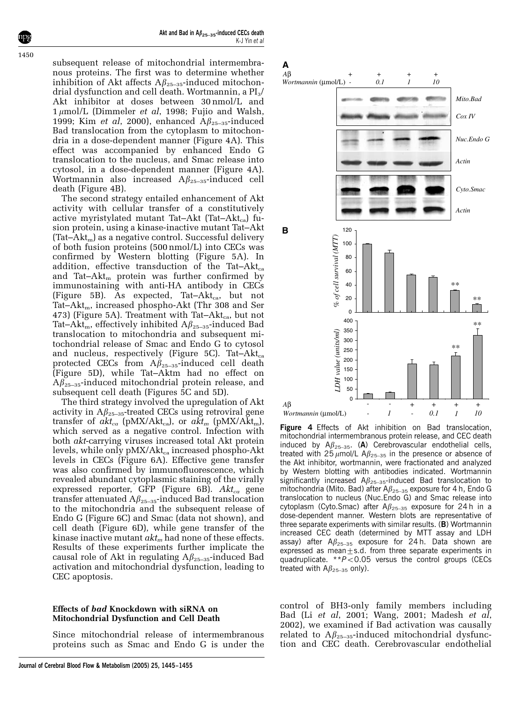Akt and Bad in  $A\beta_{25-35}$ -induced CECs death K-J Yin et al

subsequent release of mitochondrial intermembranous proteins. The first was to determine whether inhibition of Akt affects  $A\beta_{25-35}$ -induced mitochondrial dysfunction and cell death. Wortmannin, a  $PI_3/$ Akt inhibitor at doses between 30 nmol/L and  $1 \mu$ mol/L (Dimmeler et al, 1998; Fujio and Walsh, 1999; Kim *et al*, 2000), enhanced  $A\beta_{25-35}$ -induced Bad translocation from the cytoplasm to mitochondria in a dose-dependent manner (Figure 4A). This effect was accompanied by enhanced Endo G translocation to the nucleus, and Smac release into cytosol, in a dose-dependent manner (Figure 4A). Wortmannin also increased  $A\beta_{25-35}$ -induced cell death (Figure 4B).

The second strategy entailed enhancement of Akt activity with cellular transfer of a constitutively active myristylated mutant Tat-Akt (Tat-Akt<sub>ca</sub>) fusion protein, using a kinase-inactive mutant Tat–Akt  $(Tat-Akt<sub>m</sub>)$  as a negative control. Successful delivery of both fusion proteins (500 nmol/L) into CECs was confirmed by Western blotting (Figure 5A). In addition, effective transduction of the Tat-Akt<sub>ca</sub> and Tat–Akt<sub>m</sub> protein was further confirmed by immunostaining with anti-HA antibody in CECs (Figure 5B). As expected, Tat– $Akt_{ca}$ , but not Tat–Akt<sub>m</sub>, increased phospho-Akt (Thr 308 and Ser 473) (Figure 5A). Treatment with Tat–Akt<sub>ca</sub>, but not Tat–Akt<sub>m</sub>, effectively inhibited  $A\beta_{25-35}$ -induced Bad translocation to mitochondria and subsequent mitochondrial release of Smac and Endo G to cytosol and nucleus, respectively (Figure 5C). Tat-Akt<sub>ca</sub> protected CECs from  $A\beta_{25-35}$ -induced cell death (Figure 5D), while Tat–Aktm had no effect on  $A\beta_{25-35}$ -induced mitochondrial protein release, and subsequent cell death (Figures 5C and 5D).

The third strategy involved the upregulation of Akt activity in  $A\beta_{25-35}$ -treated CECs using retroviral gene transfer of  $akt_{ca}$  (pMX/Akt<sub>ca</sub>), or  $akt_m$  (pMX/Akt<sub>m</sub>), which served as a negative control. Infection with both akt-carrying viruses increased total Akt protein levels, while only  $pMX/Akt_{ca}$  increased phospho-Akt levels in CECs (Figure 6A). Effective gene transfer was also confirmed by immunofluorescence, which revealed abundant cytoplasmic staining of the virally expressed reporter, GFP (Figure 6B).  $Akt_{ca}$  gene transfer attenuated  $A\beta_{25-35}$ -induced Bad translocation to the mitochondria and the subsequent release of Endo G (Figure 6C) and Smac (data not shown), and cell death (Figure 6D), while gene transfer of the kinase inactive mutant  $akt_m$  had none of these effects. Results of these experiments further implicate the causal role of Akt in regulating  $A\beta_{25-35}$ -induced Bad activation and mitochondrial dysfunction, leading to CEC apoptosis.

#### Effects of bad Knockdown with siRNA on Mitochondrial Dysfunction and Cell Death

Since mitochondrial release of intermembranous proteins such as Smac and Endo G is under the





Figure 4 Effects of Akt inhibition on Bad translocation, mitochondrial intermembranous protein release, and CEC death induced by  $A\beta_{25-35}$ . (A) Cerebrovascular endothelial cells, treated with 25  $\mu$ mol/L A $\beta_{25-35}$  in the presence or absence of the Akt inhibitor, wortmannin, were fractionated and analyzed by Western blotting with antibodies indicated. Wortmannin significantly increased  $A\beta_{25-35}$ -induced Bad translocation to mitochondria (Mito. Bad) after  $A\beta_{25-35}$  exposure for 4 h, Endo G translocation to nucleus (Nuc.Endo G) and Smac release into cytoplasm (Cyto.Smac) after  $A\beta_{25-35}$  exposure for 24 h in a dose-dependent manner. Western blots are representative of three separate experiments with similar results. (B) Wortmannin increased CEC death (determined by MTT assay and LDH assay) after  $A\beta_{25-35}$  exposure for 24h. Data shown are expressed as mean $\pm$ s.d. from three separate experiments in quadruplicate.  $*P<0.05$  versus the control groups (CECs treated with  $A\beta_{25-35}$  only).

control of BH3-only family members including Bad (Li et al, 2001; Wang, 2001; Madesh et al, 2002), we examined if Bad activation was causally related to  $A\beta_{25-35}$ -induced mitochondrial dysfunction and CEC death. Cerebrovascular endothelial

1450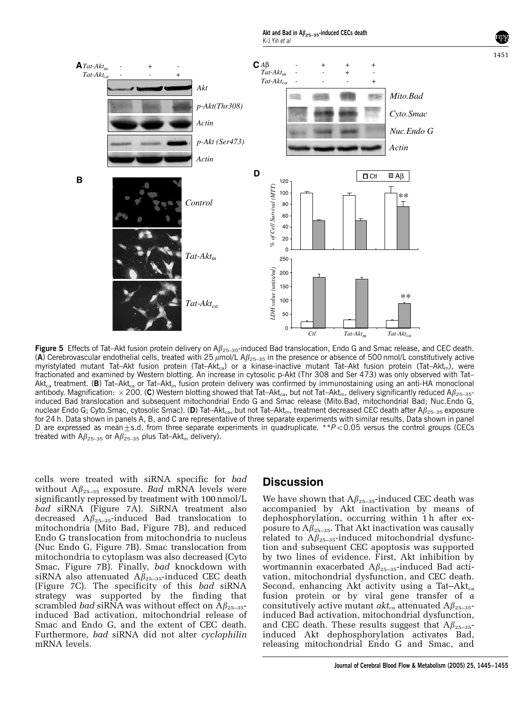

Figure 5 Effects of Tat-Akt fusion protein delivery on  $A\beta_{25-35}$ -induced Bad translocation, Endo G and Smac release, and CEC death. (A) Cerebrovascular endothelial cells, treated with 25  $\mu$ mol/L A $\beta_{25-35}$  in the presence or absence of 500 nmol/L constitutively active myristylated mutant Tat–Akt fusion protein (Tat–Akt<sub>ca</sub>) or a kinase-inactive mutant Tat–Akt fusion protein (Tat–Akt<sub>m</sub>), were fractionated and examined by Western blotting. An increase in cytosolic p-Akt (Thr 308 and Ser 473) was only observed with Tat–  $\Delta$ kt<sub>ca</sub> treatment. (B) Tat–Akt<sub>ca</sub> or Tat–Akt<sub>m</sub> fusion protein delivery was confirmed by immunostaining using an anti-HA monoclonal antibody. Magnification:  $\times$  200. (C) Western blotting showed that Tat–Akt<sub>ca</sub>, but not Tat–Akt<sub>m</sub>, delivery significantly reduced A $\beta_{25-35}$ induced Bad translocation and subsequent mitochondrial Endo G and Smac release (Mito.Bad, mitochondrial Bad; Nuc.Endo G, nuclear Endo G; Cyto.Smac, cytosolic Smac). (D) Tat–Akt<sub>ca</sub>, but not Tat–Akt<sub>m</sub>, treatment decreased CEC death after A $\beta_{25-35}$  exposure for 24 h. Data shown in panels A, B, and C are representative of three separate experiments with similar results. Data shown in panel D are expressed as mean $\pm$ s.d. from three separate experiments in quadruplicate. \*\*P<0.05 versus the control groups (CECs treated with  $A\beta_{25-35}$  or  $A\beta_{25-35}$  plus Tat-Akt<sub>m</sub> delivery).

cells were treated with siRNA specific for bad without  $A\beta_{25-35}$  exposure. Bad mRNA levels were significantly repressed by treatment with 100 nmol/L bad siRNA (Figure 7A). SiRNA treatment also decreased  $A\beta_{25-35}$ -induced Bad translocation to mitochondria (Mito Bad, Figure 7B), and reduced Endo G translocation from mitochondria to nucleus (Nuc Endo G, Figure 7B). Smac translocation from mitochondria to cytoplasm was also decreased (Cyto Smac, Figure 7B). Finally, bad knockdown with siRNA also attenuated  $A\beta_{25-35}$ -induced CEC death (Figure 7C). The specificity of this bad siRNA strategy was supported by the finding that scrambled *bad* siRNA was without effect on  $A\beta_{25-35}$ induced Bad activation, mitochondrial release of Smac and Endo G, and the extent of CEC death. Furthermore, bad siRNA did not alter cyclophilin mRNA levels.

# **Discussion**

We have shown that  $A\beta_{25-35}$ -induced CEC death was accompanied by Akt inactivation by means of dephosphorylation, occurring within 1 h after exposure to  $A\beta_{25-35}$ . That Akt inactivation was causally related to  $A\beta_{25-35}$ -induced mitochondrial dysfunction and subsequent CEC apoptosis was supported by two lines of evidence. First, Akt inhibition by wortmannin exacerbated  $A\beta_{25-35}$ -induced Bad activation, mitochondrial dysfunction, and CEC death. Second, enhancing Akt activity using a Tat-Akt<sub>ca</sub> fusion protein or by viral gene transfer of a consitutively active mutant  $\alpha k t_{ca}$  attenuated  $A\beta_{25-35}$ induced Bad activation, mitochondrial dysfunction, and CEC death. These results suggest that  $A\beta_{25-35}$ induced Akt dephosphorylation activates Bad, releasing mitochondrial Endo G and Smac, and

1451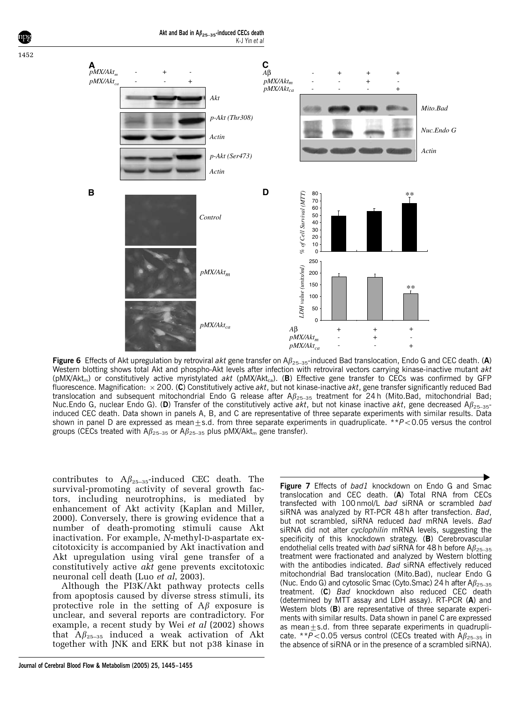

Figure 6 Effects of Akt upregulation by retroviral akt gene transfer on  $A\beta_{25-35}$ -induced Bad translocation, Endo G and CEC death. (A) Western blotting shows total Akt and phospho-Akt levels after infection with retroviral vectors carrying kinase-inactive mutant akt (pMX/Akt<sub>m</sub>) or constitutively active myristylated akt (pMX/Akt<sub>ca</sub>). (B) Effective gene transfer to CECs was confirmed by GFP fluorescence. Magnification:  $\times$  200. (C) Constitutively active akt, but not kinase-inactive akt, gene transfer significantly reduced Bad translocation and subsequent mitochondrial Endo G release after  $A\beta_{25-35}$  treatment for 24 h (Mito.Bad, mitochondrial Bad; Nuc.Endo G, nuclear Endo G). (D) Transfer of the constitutively active akt, but not kinase inactive akt, gene decreased  $A\beta_{25-35}$ induced CEC death. Data shown in panels A, B, and C are representative of three separate experiments with similar results. Data shown in panel D are expressed as mean $\pm$ s.d. from three separate experiments in quadruplicate. \*\*P<0.05 versus the control groups (CECs treated with  $A\beta_{25-35}$  or  $A\beta_{25-35}$  plus pMX/Akt<sub>m</sub> gene transfer).

contributes to  $A\beta_{25-35}$ -induced CEC death. The survival-promoting activity of several growth factors, including neurotrophins, is mediated by enhancement of Akt activity (Kaplan and Miller, 2000). Conversely, there is growing evidence that a number of death-promoting stimuli cause Akt inactivation. For example, N-methyl-D-aspartate excitotoxicity is accompanied by Akt inactivation and Akt upregulation using viral gene transfer of a constitutively active akt gene prevents excitotoxic neuronal cell death (Luo et al, 2003).

Although the PI3K/Akt pathway protects cells from apoptosis caused by diverse stress stimuli, its protective role in the setting of  $A\beta$  exposure is unclear, and several reports are contradictory. For example, a recent study by Wei et al (2002) shows that  $A\beta_{25-35}$  induced a weak activation of Akt together with JNK and ERK but not p38 kinase in

translocation and CEC death. (A) Total RNA from CECs transfected with 100 nmol/L bad siRNA or scrambled bad siRNA was analyzed by RT-PCR 48h after transfection. Bad, but not scrambled, siRNA reduced bad mRNA levels. Bad siRNA did not alter cyclophilin mRNA levels, suggesting the specificity of this knockdown strategy. (B) Cerebrovascular endothelial cells treated with bad siRNA for 48 h before  $A\beta_{25-35}$ treatment were fractionated and analyzed by Western blotting with the antibodies indicated. Bad siRNA effectively reduced mitochondrial Bad translocation (Mito.Bad), nuclear Endo G (Nuc. Endo G) and cytosolic Smac (Cyto.Smac) 24 h after  $A\beta_{25-35}$ treatment. (C) Bad knockdown also reduced CEC death (determined by MTT assay and LDH assay). RT-PCR (A) and Western blots (B) are representative of three separate experiments with similar results. Data shown in panel C are expressed as mean $\pm$ s.d. from three separate experiments in quadruplicate. \*\*P<0.05 versus control (CECs treated with  $A\beta_{25-35}$  in the absence of siRNA or in the presence of a scrambled siRNA).

Figure 7 Effects of bad1 knockdown on Endo G and Smac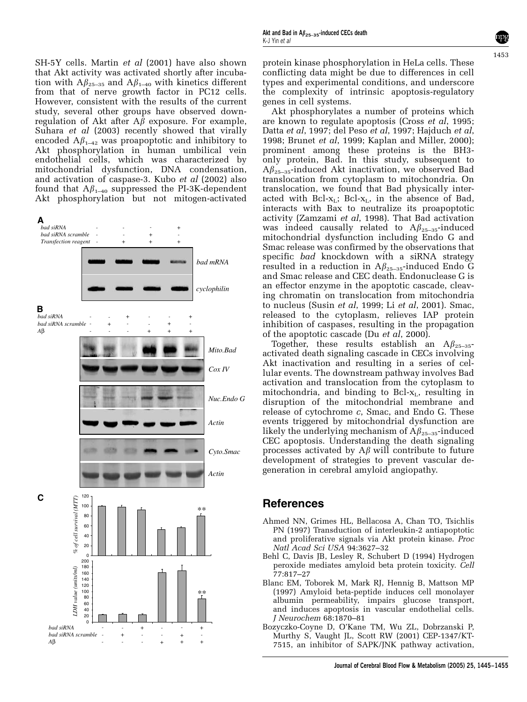SH-5Y cells. Martin et al (2001) have also shown that Akt activity was activated shortly after incubation with  $A\beta_{25-35}$  and  $A\beta_{1-40}$  with kinetics different from that of nerve growth factor in PC12 cells. However, consistent with the results of the current study, several other groups have observed downregulation of Akt after  $A\beta$  exposure. For example, Suhara *et al* (2003) recently showed that virally encoded  $A\beta_{1-42}$  was proapoptotic and inhibitory to Akt phosphorylation in human umbilical vein endothelial cells, which was characterized by mitochondrial dysfunction, DNA condensation, and activation of caspase-3. Kubo et al (2002) also found that  $A\beta_{1-40}$  suppressed the PI-3K-dependent Akt phosphorylation but not mitogen-activated



protein kinase phosphorylation in HeLa cells. These conflicting data might be due to differences in cell types and experimental conditions, and underscore the complexity of intrinsic apoptosis-regulatory genes in cell systems.

1453

Akt phosphorylates a number of proteins which are known to regulate apoptosis (Cross et al, 1995; Datta et al, 1997; del Peso et al, 1997; Hajduch et al, 1998; Brunet et al, 1999; Kaplan and Miller, 2000); prominent among these proteins is the BH3 only protein, Bad. In this study, subsequent to  $A\beta_{25-35}$ -induced Akt inactivation, we observed Bad translocation from cytoplasm to mitochondria. On translocation, we found that Bad physically interacted with Bcl- $x_L$ ; Bcl- $x_L$ , in the absence of Bad, interacts with Bax to neutralize its proapoptotic activity (Zamzami et al, 1998). That Bad activation was indeed causally related to  $A\beta_{25-35}$ -induced mitochondrial dysfunction including Endo G and Smac release was confirmed by the observations that specific bad knockdown with a siRNA strategy resulted in a reduction in  $A\beta_{25-35}$ -induced Endo G and Smac release and CEC death. Endonuclease G is an effector enzyme in the apoptotic cascade, cleaving chromatin on translocation from mitochondria to nucleus (Susin et al, 1999; Li et al, 2001). Smac, released to the cytoplasm, relieves IAP protein inhibition of caspases, resulting in the propagation of the apoptotic cascade (Du et al, 2000).

Together, these results establish an  $A\beta_{25-35}$ activated death signaling cascade in CECs involving Akt inactivation and resulting in a series of cellular events. The downstream pathway involves Bad activation and translocation from the cytoplasm to mitochondria, and binding to Bcl- $x_L$ , resulting in disruption of the mitochondrial membrane and release of cytochrome c, Smac, and Endo G. These events triggered by mitochondrial dysfunction are likely the underlying mechanism of  $A\beta_{25-35}$ -induced CEC apoptosis. Understanding the death signaling processes activated by  $A\beta$  will contribute to future development of strategies to prevent vascular degeneration in cerebral amyloid angiopathy.

# References

- Ahmed NN, Grimes HL, Bellacosa A, Chan TO, Tsichlis PN (1997) Transduction of interleukin-2 antiapoptotic and proliferative signals via Akt protein kinase. Proc Natl Acad Sci USA 94:3627–32
- Behl C, Davis JB, Lesley R, Schubert D (1994) Hydrogen peroxide mediates amyloid beta protein toxicity. Cell 77:817–27
- Blanc EM, Toborek M, Mark RJ, Hennig B, Mattson MP (1997) Amyloid beta-peptide induces cell monolayer albumin permeability, impairs glucose transport, and induces apoptosis in vascular endothelial cells. J Neurochem 68:1870–81
- Bozyczko-Coyne D, O'Kane TM, Wu ZL, Dobrzanski P, Murthy S, Vaught JL, Scott RW (2001) CEP-1347/KT-7515, an inhibitor of SAPK/JNK pathway activation,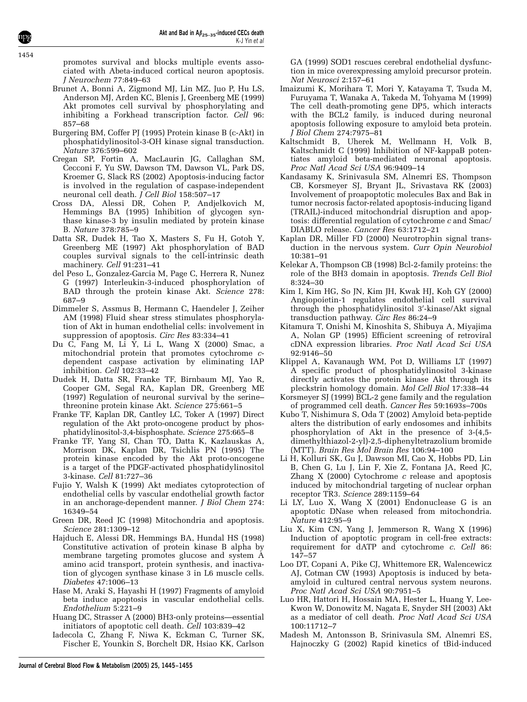promotes survival and blocks multiple events associated with Abeta-induced cortical neuron apoptosis. J Neurochem 77:849–63

- Brunet A, Bonni A, Zigmond MJ, Lin MZ, Juo P, Hu LS, Anderson MJ, Arden KC, Blenis J, Greenberg ME (1999) Akt promotes cell survival by phosphorylating and inhibiting a Forkhead transcription factor. Cell 96: 857–68
- Burgering BM, Coffer PJ (1995) Protein kinase B (c-Akt) in phosphatidylinositol-3-OH kinase signal transduction. Nature 376:599–602
- Cregan SP, Fortin A, MacLaurin JG, Callaghan SM, Cecconi F, Yu SW, Dawson TM, Dawson VL, Park DS, Kroemer G, Slack RS (2002) Apoptosis-inducing factor is involved in the regulation of caspase-independent neuronal cell death. *J Cell Biol* 158:507-17
- Cross DA, Alessi DR, Cohen P, Andjelkovich M, Hemmings BA (1995) Inhibition of glycogen synthase kinase-3 by insulin mediated by protein kinase B. Nature 378:785–9
- Datta SR, Dudek H, Tao X, Masters S, Fu H, Gotoh Y, Greenberg ME (1997) Akt phosphorylation of BAD couples survival signals to the cell-intrinsic death machinery. Cell 91:231–41
- del Peso L, Gonzalez-Garcia M, Page C, Herrera R, Nunez G (1997) Interleukin-3-induced phosphorylation of BAD through the protein kinase Akt. Science 278: 687–9
- Dimmeler S, Assmus B, Hermann C, Haendeler J, Zeiher AM (1998) Fluid shear stress stimulates phosphorylation of Akt in human endothelial cells: involvement in suppression of apoptosis. Circ Res 83:334–41
- Du C, Fang M, Li Y, Li L, Wang X  $(2000)$  Smac, a mitochondrial protein that promotes cytochrome cdependent caspase activation by eliminating IAP inhibition. Cell 102:33–42
- Dudek H, Datta SR, Franke TF, Birnbaum MJ, Yao R, Cooper GM, Segal RA, Kaplan DR, Greenberg ME (1997) Regulation of neuronal survival by the serine– threonine protein kinase Akt. Science 275:661–5
- Franke TF, Kaplan DR, Cantley LC, Toker A (1997) Direct regulation of the Akt proto-oncogene product by phosphatidylinositol-3,4-bisphosphate. Science 275:665–8
- Franke TF, Yang SI, Chan TO, Datta K, Kazlauskas A, Morrison DK, Kaplan DR, Tsichlis PN (1995) The protein kinase encoded by the Akt proto-oncogene is a target of the PDGF-activated phosphatidylinositol 3-kinase. Cell 81:727–36
- Fujio Y, Walsh K (1999) Akt mediates cytoprotection of endothelial cells by vascular endothelial growth factor in an anchorage-dependent manner. J Biol Chem 274: 16349–54
- Green DR, Reed JC (1998) Mitochondria and apoptosis. Science 281:1309–12
- Hajduch E, Alessi DR, Hemmings BA, Hundal HS (1998) Constitutive activation of protein kinase B alpha by membrane targeting promotes glucose and system A amino acid transport, protein synthesis, and inactivation of glycogen synthase kinase 3 in L6 muscle cells. Diabetes 47:1006–13
- Hase M, Araki S, Hayashi H (1997) Fragments of amyloid beta induce apoptosis in vascular endothelial cells. Endothelium 5:221–9
- Huang DC, Strasser A (2000) BH3-only proteins—essential initiators of apoptotic cell death. Cell 103:839–42
- Iadecola C, Zhang F, Niwa K, Eckman C, Turner SK, Fischer E, Younkin S, Borchelt DR, Hsiao KK, Carlson

GA (1999) SOD1 rescues cerebral endothelial dysfunction in mice overexpressing amyloid precursor protein. Nat Neurosci 2:157–61

- Imaizumi K, Morihara T, Mori Y, Katayama T, Tsuda M, Furuyama T, Wanaka A, Takeda M, Tohyama M (1999) The cell death-promoting gene DP5, which interacts with the BCL2 family, is induced during neuronal apoptosis following exposure to amyloid beta protein. J Biol Chem 274:7975–81
- Kaltschmidt B, Uherek M, Wellmann H, Volk B, Kaltschmidt C (1999) Inhibition of NF-kappaB potentiates amyloid beta-mediated neuronal apoptosis. Proc Natl Acad Sci USA 96:9409–14
- Kandasamy K, Srinivasula SM, Alnemri ES, Thompson CB, Korsmeyer SJ, Bryant JL, Srivastava RK (2003) Involvement of proapoptotic molecules Bax and Bak in tumor necrosis factor-related apoptosis-inducing ligand (TRAIL)-induced mitochondrial disruption and apoptosis: differential regulation of cytochrome c and Smac/ DIABLO release. Cancer Res 63:1712–21
- Kaplan DR, Miller FD (2000) Neurotrophin signal transduction in the nervous system. Curr Opin Neurobiol 10:381–91
- Kelekar A, Thompson CB (1998) Bcl-2-family proteins: the role of the BH3 domain in apoptosis. Trends Cell Biol 8:324–30
- Kim I, Kim HG, So JN, Kim JH, Kwak HJ, Koh GY (2000) Angiopoietin-1 regulates endothelial cell survival through the phosphatidylinositol 3'-kinase/Akt signal transduction pathway. Circ Res 86:24–9
- Kitamura T, Onishi M, Kinoshita S, Shibuya A, Miyajima A, Nolan GP (1995) Efficient screening of retroviral cDNA expression libraries. Proc Natl Acad Sci USA 92:9146–50
- Klippel A, Kavanaugh WM, Pot D, Williams LT (1997) A specific product of phosphatidylinositol 3-kinase directly activates the protein kinase Akt through its pleckstrin homology domain. Mol Cell Biol 17:338–44
- Korsmeyer SJ (1999) BCL-2 gene family and the regulation of programmed cell death. Cancer Res 59:1693s–700s
- Kubo T, Nishimura S, Oda T (2002) Amyloid beta-peptide alters the distribution of early endosomes and inhibits phosphorylation of Akt in the presence of 3-(4,5 dimethylthiazol-2-yl)-2,5-diphenyltetrazolium bromide (MTT). Brain Res Mol Brain Res 106:94–100
- Li H, Kolluri SK, Gu J, Dawson MI, Cao X, Hobbs PD, Lin B, Chen G, Lu J, Lin F, Xie Z, Fontana JA, Reed JC, Zhang X (2000) Cytochrome  $c$  release and apoptosis induced by mitochondrial targeting of nuclear orphan receptor TR3. Science 289:1159–64
- Li LY, Luo X, Wang X (2001) Endonuclease G is an apoptotic DNase when released from mitochondria. Nature 412:95–9
- Liu X, Kim CN, Yang J, Jemmerson R, Wang X (1996) Induction of apoptotic program in cell-free extracts: requirement for dATP and cytochrome c. Cell 86: 147–57
- Loo DT, Copani A, Pike CJ, Whittemore ER, Walencewicz AJ, Cotman CW (1993) Apoptosis is induced by betaamyloid in cultured central nervous system neurons. Proc Natl Acad Sci USA 90:7951–5
- Luo HR, Hattori H, Hossain MA, Hester L, Huang Y, Lee-Kwon W, Donowitz M, Nagata E, Snyder SH (2003) Akt as a mediator of cell death. Proc Natl Acad Sci USA 100:11712–7
- Madesh M, Antonsson B, Srinivasula SM, Alnemri ES, Hajnoczky G (2002) Rapid kinetics of tBid-induced